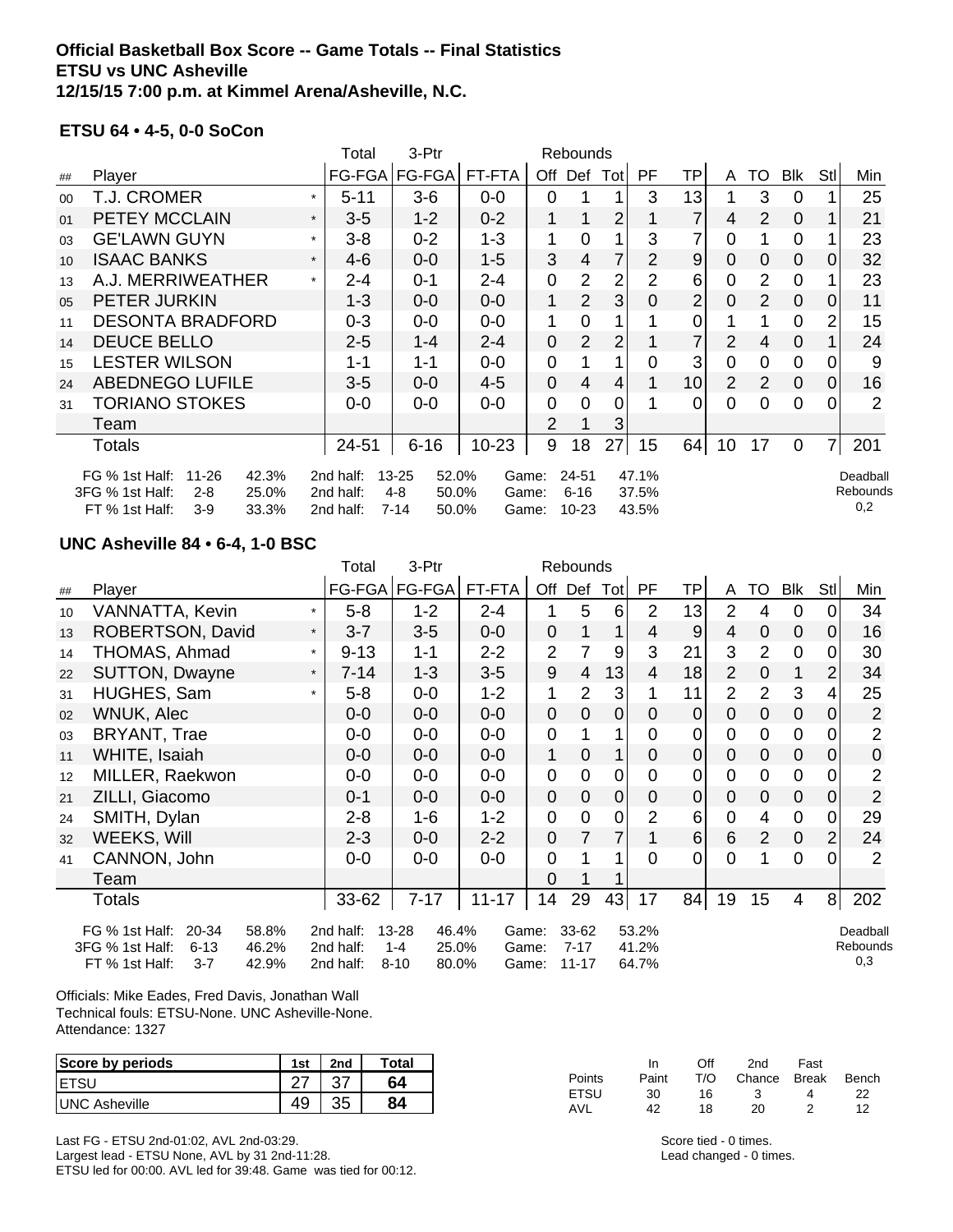#### **Official Basketball Box Score -- Game Totals -- Final Statistics ETSU vs UNC Asheville 12/15/15 7:00 p.m. at Kimmel Arena/Asheville, N.C.**

#### **ETSU 64 • 4-5, 0-0 SoCon**

|        |                                                                                                             |         | Total                               | 3-Ptr                                                   |                         |                |                            |                |                         |    |                |                |                |                |                             |
|--------|-------------------------------------------------------------------------------------------------------------|---------|-------------------------------------|---------------------------------------------------------|-------------------------|----------------|----------------------------|----------------|-------------------------|----|----------------|----------------|----------------|----------------|-----------------------------|
| ##     | Player                                                                                                      |         |                                     | FG-FGA   FG-FGA                                         | FT-FTA                  | Off            | Def                        | Totl           | PF.                     | ΤP | A              | TO             | <b>BIK</b>     | Stll           | Min                         |
| $00\,$ | <b>T.J. CROMER</b>                                                                                          |         | $5 - 11$                            | $3-6$                                                   | $0-0$                   | 0              |                            |                | 3                       | 13 |                | 3              | 0              |                | 25                          |
| 01     | <b>PETEY MCCLAIN</b>                                                                                        | $\star$ | $3-5$                               | $1 - 2$                                                 | $0 - 2$                 | 1              |                            | 2              |                         | 7  | 4              | $\overline{2}$ | $\Omega$       |                | 21                          |
| 03     | <b>GE'LAWN GUYN</b>                                                                                         | $\star$ | $3 - 8$                             | $0 - 2$                                                 | $1 - 3$                 | 1              | 0                          |                | 3                       | 7  | 0              |                | $\mathbf 0$    |                | 23                          |
| 10     | <b>ISAAC BANKS</b>                                                                                          | $\star$ | 4-6                                 | $0 - 0$                                                 | $1 - 5$                 | 3              | 4                          | 7              | 2                       | 9  | 0              | 0              | 0              | 0              | 32                          |
| 13     | A.J. MERRIWEATHER                                                                                           | $\star$ | 2-4                                 | $0 - 1$                                                 | $2 - 4$                 | 0              | 2                          | 2              | 2                       | 6  | 0              | 2              | 0              |                | 23                          |
| 05     | PETER JURKIN                                                                                                |         | $1 - 3$                             | $0-0$                                                   | $0 - 0$                 | 1              | $\overline{2}$             | 3              | 0                       | 2  | 0              | $\overline{2}$ | $\overline{0}$ | 0              | 11                          |
| 11     | <b>DESONTA BRADFORD</b>                                                                                     |         | $0 - 3$                             | $0-0$                                                   | $0-0$                   | 1              | 0                          |                |                         | 0  |                |                | $\overline{0}$ | 2              | 15                          |
| 14     | <b>DEUCE BELLO</b>                                                                                          |         | $2 - 5$                             | $1 - 4$                                                 | $2 - 4$                 | 0              | $\overline{2}$             | $\overline{2}$ |                         | 7  | $\overline{2}$ | 4              | $\overline{0}$ |                | 24                          |
| 15     | <b>LESTER WILSON</b>                                                                                        |         | $1 - 1$                             | $1 - 1$                                                 | $0-0$                   | 0              |                            |                | 0                       | 3  | 0              | 0              | $\mathbf 0$    | 0              | 9                           |
| 24     | <b>ABEDNEGO LUFILE</b>                                                                                      |         | $3-5$                               | $0-0$                                                   | $4 - 5$                 | 0              | 4                          | 4              |                         | 10 | $\overline{2}$ | 2              | $\overline{0}$ | 0              | 16                          |
| 31     | <b>TORIANO STOKES</b>                                                                                       |         | $0-0$                               | $0-0$                                                   | $0-0$                   | 0              | 0                          | 0              |                         | 0  | 0              | O              | 0              |                | 2                           |
|        | Team                                                                                                        |         |                                     |                                                         |                         | $\overline{2}$ |                            | 3              |                         |    |                |                |                |                |                             |
|        | Totals                                                                                                      |         | 24-51                               | $6 - 16$                                                | $10 - 23$               | 9              | 18                         | 27             | 15                      | 64 | 10             | 17             | 0              | $\overline{7}$ | 201                         |
|        | 42.3%<br>FG % 1st Half:<br>11-26<br>3FG % 1st Half:<br>25.0%<br>$2 - 8$<br>FT % 1st Half:<br>$3-9$<br>33.3% |         | 2nd half:<br>2nd half:<br>2nd half: | $13 - 25$<br>52.0%<br>4-8<br>50.0%<br>$7 - 14$<br>50.0% | Game:<br>Game:<br>Game: |                | 24-51<br>$6 - 16$<br>10-23 |                | 47.1%<br>37.5%<br>43.5% |    |                |                |                |                | Deadball<br>Rebounds<br>0,2 |

### **UNC Asheville 84 • 6-4, 1-0 BSC**

|    |                                                                                                                |         | Total                               | 3-Ptr                                                   |                         |                | Rebounds                       |                |                         |                |                 |                |             |                |                             |
|----|----------------------------------------------------------------------------------------------------------------|---------|-------------------------------------|---------------------------------------------------------|-------------------------|----------------|--------------------------------|----------------|-------------------------|----------------|-----------------|----------------|-------------|----------------|-----------------------------|
| ## | Player                                                                                                         |         | FG-FGA                              | FG-FGA                                                  | FT-FTA                  | Off            | Def                            | Tot            | PF                      | <b>TP</b>      | A               | <b>TO</b>      | <b>Blk</b>  | Stl            | Min                         |
| 10 | VANNATTA, Kevin                                                                                                |         | $5 - 8$                             | $1 - 2$                                                 | $2 - 4$                 |                | 5                              | 6              | $\overline{2}$          | 13             | $\overline{2}$  | 4              | $\mathbf 0$ | $\Omega$       | 34                          |
| 13 | ROBERTSON, David                                                                                               | $\star$ | $3 - 7$                             | $3-5$                                                   | $0-0$                   | $\overline{0}$ | 1                              | 1              | 4                       | 9              | 4               | $\overline{0}$ | $\mathbf 0$ | $\Omega$       | 16                          |
| 14 | THOMAS, Ahmad                                                                                                  | $\star$ | $9 - 13$                            | $1 - 1$                                                 | $2 - 2$                 | 2              | $\overline{7}$                 | 9              | 3                       | 21             | 3               | $\overline{2}$ | $\mathbf 0$ | 0              | 30                          |
| 22 | <b>SUTTON, Dwayne</b>                                                                                          | $\star$ | $7 - 14$                            | $1 - 3$                                                 | $3-5$                   | 9              | $\overline{4}$                 | 13             | $\overline{4}$          | 18             | $\overline{2}$  | $\mathbf 0$    | 1           | $\overline{2}$ | 34                          |
| 31 | HUGHES, Sam                                                                                                    | $\star$ | $5 - 8$                             | $0-0$                                                   | $1 - 2$                 | 1              | $\overline{2}$                 | 3              |                         | 11             | 2               | $\overline{2}$ | 3           | 4              | 25                          |
| 02 | WNUK, Alec                                                                                                     |         | $0-0$                               | $0-0$                                                   | $0-0$                   | $\mathbf 0$    | $\mathbf 0$                    | $\overline{0}$ | $\overline{0}$          | $\overline{0}$ | $\overline{0}$  | $\overline{0}$ | $\mathbf 0$ | $\overline{0}$ | $\overline{2}$              |
| 03 | BRYANT, Trae                                                                                                   |         | $0-0$                               | $0-0$                                                   | $0-0$                   | $\mathbf 0$    |                                |                | 0                       | 0              | $\mathbf 0$     | $\mathbf 0$    | $\mathbf 0$ | $\Omega$       | $\overline{2}$              |
| 11 | WHITE, Isaiah                                                                                                  |         | $0-0$                               | $0-0$                                                   | $0-0$                   | 1              | $\mathbf 0$                    |                | $\mathbf 0$             | $\overline{0}$ | $\overline{0}$  | $\mathbf 0$    | $\mathbf 0$ | $\Omega$       | $\boldsymbol{0}$            |
| 12 | MILLER, Raekwon                                                                                                |         | $0-0$                               | $0-0$                                                   | $0-0$                   | $\mathbf 0$    | $\mathbf 0$                    | $\overline{0}$ | $\overline{0}$          | 0              | $\overline{0}$  | $\mathbf 0$    | $\mathbf 0$ | 0              | 2                           |
| 21 | ZILLI, Giacomo                                                                                                 |         | $0 - 1$                             | $0-0$                                                   | $0-0$                   | $\mathbf 0$    | $\boldsymbol{0}$               | 0              | $\mathbf 0$             | $\overline{0}$ | $\overline{0}$  | $\overline{0}$ | 0           | $\overline{0}$ | $\overline{2}$              |
| 24 | SMITH, Dylan                                                                                                   |         | $2 - 8$                             | $1 - 6$                                                 | $1 - 2$                 | $\mathbf 0$    | $\mathbf 0$                    | $\mathbf 0$    | 2                       | 6              | $\overline{0}$  | 4              | $\mathbf 0$ | $\mathbf 0$    | 29                          |
| 32 | <b>WEEKS, Will</b>                                                                                             |         | $2 - 3$                             | $0-0$                                                   | $2 - 2$                 | $\mathbf 0$    | $\overline{7}$                 | 7              |                         | 6              | $6\phantom{1}6$ | $\overline{2}$ | $\mathbf 0$ | $\overline{2}$ | 24                          |
| 41 | CANNON, John                                                                                                   |         | $0-0$                               | $0-0$                                                   | $0-0$                   | $\mathbf 0$    |                                |                | $\overline{0}$          | 0              | $\overline{0}$  |                | $\mathbf 0$ | $\Omega$       | 2                           |
|    | Team                                                                                                           |         |                                     |                                                         |                         | $\overline{0}$ |                                |                |                         |                |                 |                |             |                |                             |
|    | <b>Totals</b>                                                                                                  |         | 33-62                               | $7 - 17$                                                | $11 - 17$               | 14             | 29                             | 43             | 17                      | 84             | 19              | 15             | 4           | 8 <sup>1</sup> | 202                         |
|    | 58.8%<br>FG % 1st Half:<br>20-34<br>3FG % 1st Half:<br>$6 - 13$<br>46.2%<br>FT % 1st Half:<br>$3 - 7$<br>42.9% |         | 2nd half:<br>2nd half:<br>2nd half: | 13-28<br>46.4%<br>25.0%<br>$1 - 4$<br>$8 - 10$<br>80.0% | Game:<br>Game:<br>Game: |                | 33-62<br>$7 - 17$<br>$11 - 17$ |                | 53.2%<br>41.2%<br>64.7% |                |                 |                |             |                | Deadball<br>Rebounds<br>0,3 |

Officials: Mike Eades, Fred Davis, Jonathan Wall Technical fouls: ETSU-None. UNC Asheville-None. Attendance: 1327

| Score by periods     | 1st                 | 2nd           | <b>Total</b> |                    | ın       | Off      | 2 <sub>nd</sub> | Fast         |                      |
|----------------------|---------------------|---------------|--------------|--------------------|----------|----------|-----------------|--------------|----------------------|
| ETSU                 | $\sim$<br><u> 4</u> | $\sim$<br>ບ ເ | 64           | Points             | Paint    | T/O      | Chance          | <b>Break</b> | <b>Ben</b>           |
| <b>UNC Asheville</b> | 49                  | つに<br>ບບ      | 84           | <b>ETSU</b><br>AVL | 30<br>42 | 16<br>18 | 20              |              | 22<br>$\overline{ }$ |

Last FG - ETSU 2nd-01:02, AVL 2nd-03:29. Largest lead - ETSU None, AVL by 31 2nd-11:28. ETSU led for 00:00. AVL led for 39:48. Game was tied for 00:12. Score tied - 0 times. Lead changed - 0 times. Bench<br>22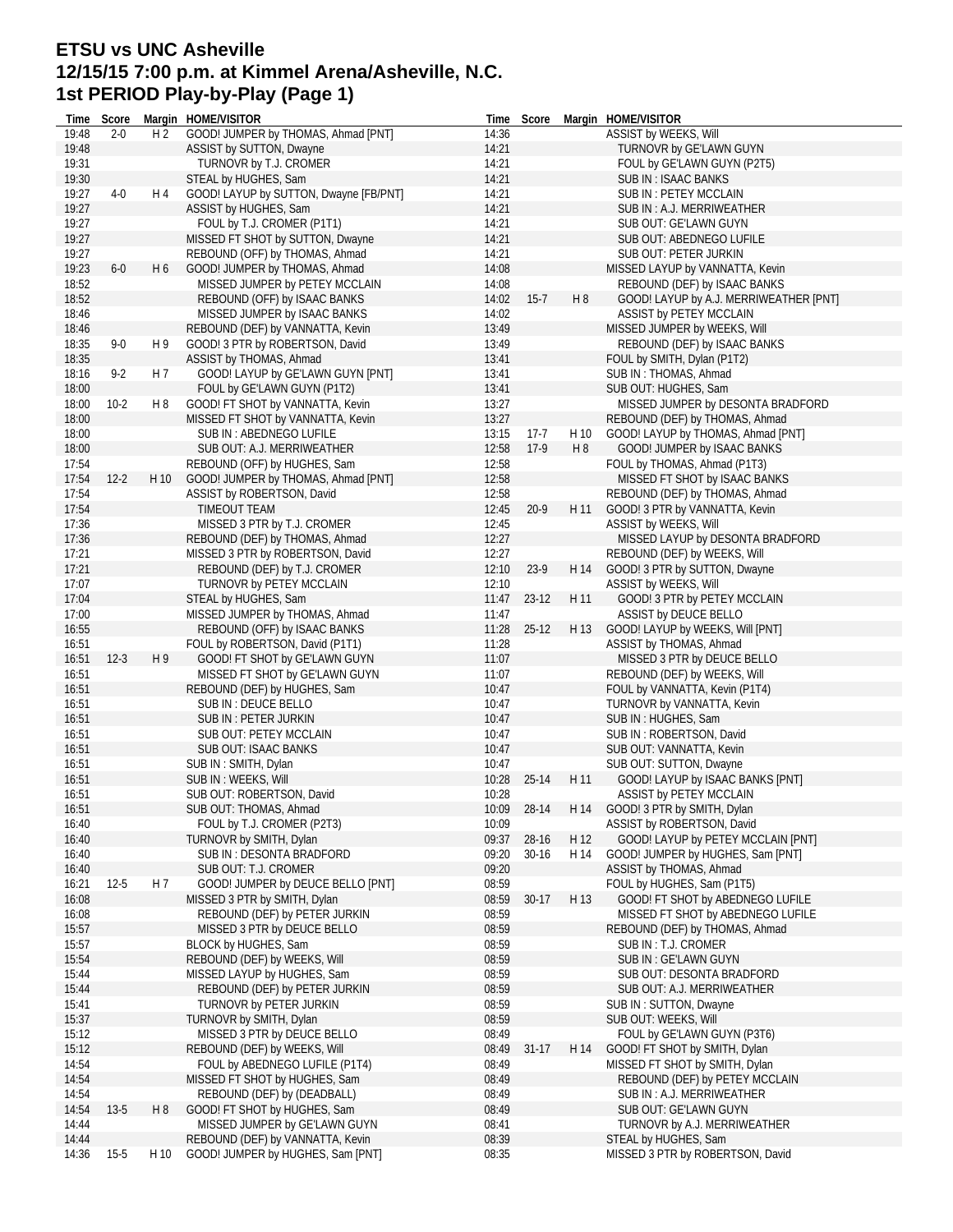## **ETSU vs UNC Asheville 12/15/15 7:00 p.m. at Kimmel Arena/Asheville, N.C. 1st PERIOD Play-by-Play (Page 1)**

| Time  | Score   |                | Margin HOME/VISITOR                    |       | Time Score  |                 | Margin HOME/VISITOR                    |
|-------|---------|----------------|----------------------------------------|-------|-------------|-----------------|----------------------------------------|
| 19:48 | $2 - 0$ | H <sub>2</sub> | GOOD! JUMPER by THOMAS, Ahmad [PNT]    | 14:36 |             |                 | ASSIST by WEEKS, Will                  |
| 19:48 |         |                | ASSIST by SUTTON, Dwayne               | 14:21 |             |                 | TURNOVR by GE'LAWN GUYN                |
| 19:31 |         |                | TURNOVR by T.J. CROMER                 | 14:21 |             |                 | FOUL by GE'LAWN GUYN (P2T5)            |
| 19:30 |         |                | STEAL by HUGHES, Sam                   | 14:21 |             |                 | SUB IN : ISAAC BANKS                   |
| 19:27 | $4-0$   | H 4            | GOOD! LAYUP by SUTTON, Dwayne [FB/PNT] | 14:21 |             |                 | SUB IN : PETEY MCCLAIN                 |
| 19:27 |         |                | ASSIST by HUGHES, Sam                  | 14:21 |             |                 | SUB IN : A.J. MERRIWEATHER             |
| 19:27 |         |                | FOUL by T.J. CROMER (P1T1)             | 14:21 |             |                 |                                        |
|       |         |                |                                        |       |             |                 | SUB OUT: GE'LAWN GUYN                  |
| 19:27 |         |                | MISSED FT SHOT by SUTTON, Dwayne       | 14:21 |             |                 | SUB OUT: ABEDNEGO LUFILE               |
| 19:27 |         |                | REBOUND (OFF) by THOMAS, Ahmad         | 14:21 |             |                 | SUB OUT: PETER JURKIN                  |
| 19:23 | $6-0$   | H6             | GOOD! JUMPER by THOMAS, Ahmad          | 14:08 |             |                 | MISSED LAYUP by VANNATTA, Kevin        |
| 18:52 |         |                | MISSED JUMPER by PETEY MCCLAIN         | 14:08 |             |                 | REBOUND (DEF) by ISAAC BANKS           |
| 18:52 |         |                | REBOUND (OFF) by ISAAC BANKS           | 14:02 | $15 - 7$    | H <sub>8</sub>  | GOOD! LAYUP by A.J. MERRIWEATHER [PNT] |
| 18:46 |         |                | MISSED JUMPER by ISAAC BANKS           | 14:02 |             |                 | ASSIST by PETEY MCCLAIN                |
| 18:46 |         |                | REBOUND (DEF) by VANNATTA, Kevin       | 13:49 |             |                 | MISSED JUMPER by WEEKS, Will           |
| 18:35 | $9-0$   | H 9            | GOOD! 3 PTR by ROBERTSON, David        | 13:49 |             |                 | REBOUND (DEF) by ISAAC BANKS           |
| 18:35 |         |                | ASSIST by THOMAS, Ahmad                | 13:41 |             |                 | FOUL by SMITH, Dylan (P1T2)            |
| 18:16 | $9 - 2$ | H 7            | GOOD! LAYUP by GE'LAWN GUYN [PNT]      | 13:41 |             |                 | SUB IN: THOMAS, Ahmad                  |
| 18:00 |         |                | FOUL by GE'LAWN GUYN (P1T2)            | 13:41 |             |                 | SUB OUT: HUGHES, Sam                   |
| 18:00 | $10-2$  | H <sub>8</sub> | GOOD! FT SHOT by VANNATTA, Kevin       | 13:27 |             |                 | MISSED JUMPER by DESONTA BRADFORD      |
|       |         |                |                                        |       |             |                 |                                        |
| 18:00 |         |                | MISSED FT SHOT by VANNATTA, Kevin      | 13:27 |             |                 | REBOUND (DEF) by THOMAS, Ahmad         |
| 18:00 |         |                | SUB IN: ABEDNEGO LUFILE                | 13:15 | $17-7$      | H 10            | GOOD! LAYUP by THOMAS, Ahmad [PNT]     |
| 18:00 |         |                | SUB OUT: A.J. MERRIWEATHER             | 12:58 | $17-9$      | H 8             | GOOD! JUMPER by ISAAC BANKS            |
| 17:54 |         |                | REBOUND (OFF) by HUGHES, Sam           | 12:58 |             |                 | FOUL by THOMAS, Ahmad (P1T3)           |
| 17:54 | $12-2$  | H 10           | GOOD! JUMPER by THOMAS, Ahmad [PNT]    | 12:58 |             |                 | MISSED FT SHOT by ISAAC BANKS          |
| 17:54 |         |                | ASSIST by ROBERTSON, David             | 12:58 |             |                 | REBOUND (DEF) by THOMAS, Ahmad         |
| 17:54 |         |                | <b>TIMEOUT TEAM</b>                    | 12:45 | $20-9$      | H 11            | GOOD! 3 PTR by VANNATTA, Kevin         |
| 17:36 |         |                | MISSED 3 PTR by T.J. CROMER            | 12:45 |             |                 | ASSIST by WEEKS, Will                  |
| 17:36 |         |                | REBOUND (DEF) by THOMAS, Ahmad         | 12:27 |             |                 | MISSED LAYUP by DESONTA BRADFORD       |
| 17:21 |         |                | MISSED 3 PTR by ROBERTSON, David       | 12:27 |             |                 | REBOUND (DEF) by WEEKS, Will           |
| 17:21 |         |                | REBOUND (DEF) by T.J. CROMER           | 12:10 | 23-9        | H 14            | GOOD! 3 PTR by SUTTON, Dwayne          |
| 17:07 |         |                | TURNOVR by PETEY MCCLAIN               | 12:10 |             |                 | ASSIST by WEEKS, Will                  |
| 17:04 |         |                | STEAL by HUGHES, Sam                   | 11:47 | 23-12       | H 11            | GOOD! 3 PTR by PETEY MCCLAIN           |
| 17:00 |         |                |                                        |       |             |                 |                                        |
|       |         |                | MISSED JUMPER by THOMAS, Ahmad         | 11:47 |             |                 | ASSIST by DEUCE BELLO                  |
| 16:55 |         |                | REBOUND (OFF) by ISAAC BANKS           | 11:28 | 25-12       | H 13            | GOOD! LAYUP by WEEKS, Will [PNT]       |
| 16:51 |         |                | FOUL by ROBERTSON, David (P1T1)        | 11:28 |             |                 | ASSIST by THOMAS, Ahmad                |
| 16:51 | $12-3$  | H 9            | GOOD! FT SHOT by GE'LAWN GUYN          | 11:07 |             |                 | MISSED 3 PTR by DEUCE BELLO            |
| 16:51 |         |                | MISSED FT SHOT by GE'LAWN GUYN         | 11:07 |             |                 | REBOUND (DEF) by WEEKS, Will           |
| 16:51 |         |                | REBOUND (DEF) by HUGHES, Sam           | 10:47 |             |                 | FOUL by VANNATTA, Kevin (P1T4)         |
| 16:51 |         |                | SUB IN : DEUCE BELLO                   | 10:47 |             |                 | TURNOVR by VANNATTA, Kevin             |
| 16:51 |         |                | SUB IN : PETER JURKIN                  | 10:47 |             |                 | SUB IN: HUGHES, Sam                    |
| 16:51 |         |                | SUB OUT: PETEY MCCLAIN                 | 10:47 |             |                 | SUB IN: ROBERTSON, David               |
| 16:51 |         |                | SUB OUT: ISAAC BANKS                   | 10:47 |             |                 | SUB OUT: VANNATTA, Kevin               |
| 16:51 |         |                | SUB IN: SMITH, Dylan                   | 10:47 |             |                 | SUB OUT: SUTTON, Dwayne                |
| 16:51 |         |                | SUB IN : WEEKS, Will                   | 10:28 | 25-14       | H 11            | GOOD! LAYUP by ISAAC BANKS [PNT]       |
| 16:51 |         |                | SUB OUT: ROBERTSON, David              | 10:28 |             |                 | ASSIST by PETEY MCCLAIN                |
| 16:51 |         |                | SUB OUT: THOMAS, Ahmad                 |       | 10:09 28-14 |                 | H 14 GOOD! 3 PTR by SMITH, Dylan       |
| 16:40 |         |                | FOUL by T.J. CROMER (P2T3)             | 10:09 |             |                 | ASSIST by ROBERTSON, David             |
|       |         |                | TURNOVR by SMITH, Dylan                |       |             |                 |                                        |
| 16:40 |         |                |                                        | 09:37 | 28-16       | H <sub>12</sub> | GOOD! LAYUP by PETEY MCCLAIN [PNT]     |
| 16:40 |         |                | SUB IN: DESONTA BRADFORD               | 09:20 | $30 - 16$   | H 14            | GOOD! JUMPER by HUGHES, Sam [PNT]      |
| 16:40 |         |                | SUB OUT: T.J. CROMER                   | 09:20 |             |                 | ASSIST by THOMAS, Ahmad                |
| 16:21 | $12-5$  | H 7            | GOOD! JUMPER by DEUCE BELLO [PNT]      | 08:59 |             |                 | FOUL by HUGHES, Sam (P1T5)             |
| 16:08 |         |                | MISSED 3 PTR by SMITH, Dylan           | 08:59 | $30 - 17$   | H 13            | GOOD! FT SHOT by ABEDNEGO LUFILE       |
| 16:08 |         |                | REBOUND (DEF) by PETER JURKIN          | 08:59 |             |                 | MISSED FT SHOT by ABEDNEGO LUFILE      |
| 15:57 |         |                | MISSED 3 PTR by DEUCE BELLO            | 08:59 |             |                 | REBOUND (DEF) by THOMAS, Ahmad         |
| 15:57 |         |                | BLOCK by HUGHES, Sam                   | 08:59 |             |                 | SUB IN : T.J. CROMER                   |
| 15:54 |         |                | REBOUND (DEF) by WEEKS, Will           | 08:59 |             |                 | SUB IN: GE'LAWN GUYN                   |
| 15:44 |         |                | MISSED LAYUP by HUGHES, Sam            | 08:59 |             |                 | SUB OUT: DESONTA BRADFORD              |
| 15:44 |         |                | REBOUND (DEF) by PETER JURKIN          | 08:59 |             |                 | SUB OUT: A.J. MERRIWEATHER             |
| 15:41 |         |                | TURNOVR by PETER JURKIN                | 08:59 |             |                 | SUB IN: SUTTON, Dwayne                 |
| 15:37 |         |                | TURNOVR by SMITH, Dylan                | 08:59 |             |                 | SUB OUT: WEEKS, Will                   |
| 15:12 |         |                | MISSED 3 PTR by DEUCE BELLO            | 08:49 |             |                 | FOUL by GE'LAWN GUYN (P3T6)            |
| 15:12 |         |                |                                        |       | $31 - 17$   |                 |                                        |
|       |         |                | REBOUND (DEF) by WEEKS, Will           | 08:49 |             | H 14            | GOOD! FT SHOT by SMITH, Dylan          |
| 14:54 |         |                | FOUL by ABEDNEGO LUFILE (P1T4)         | 08:49 |             |                 | MISSED FT SHOT by SMITH, Dylan         |
| 14:54 |         |                | MISSED FT SHOT by HUGHES, Sam          | 08:49 |             |                 | REBOUND (DEF) by PETEY MCCLAIN         |
| 14:54 |         |                | REBOUND (DEF) by (DEADBALL)            | 08:49 |             |                 | SUB IN: A.J. MERRIWEATHER              |
| 14:54 | $13-5$  | H8             | GOOD! FT SHOT by HUGHES, Sam           | 08:49 |             |                 | SUB OUT: GE'LAWN GUYN                  |
| 14:44 |         |                | MISSED JUMPER by GE'LAWN GUYN          | 08:41 |             |                 | TURNOVR by A.J. MERRIWEATHER           |
| 14:44 |         |                | REBOUND (DEF) by VANNATTA, Kevin       | 08:39 |             |                 | STEAL by HUGHES, Sam                   |
| 14:36 | $15-5$  | H 10           | GOOD! JUMPER by HUGHES, Sam [PNT]      | 08:35 |             |                 | MISSED 3 PTR by ROBERTSON, David       |
|       |         |                |                                        |       |             |                 |                                        |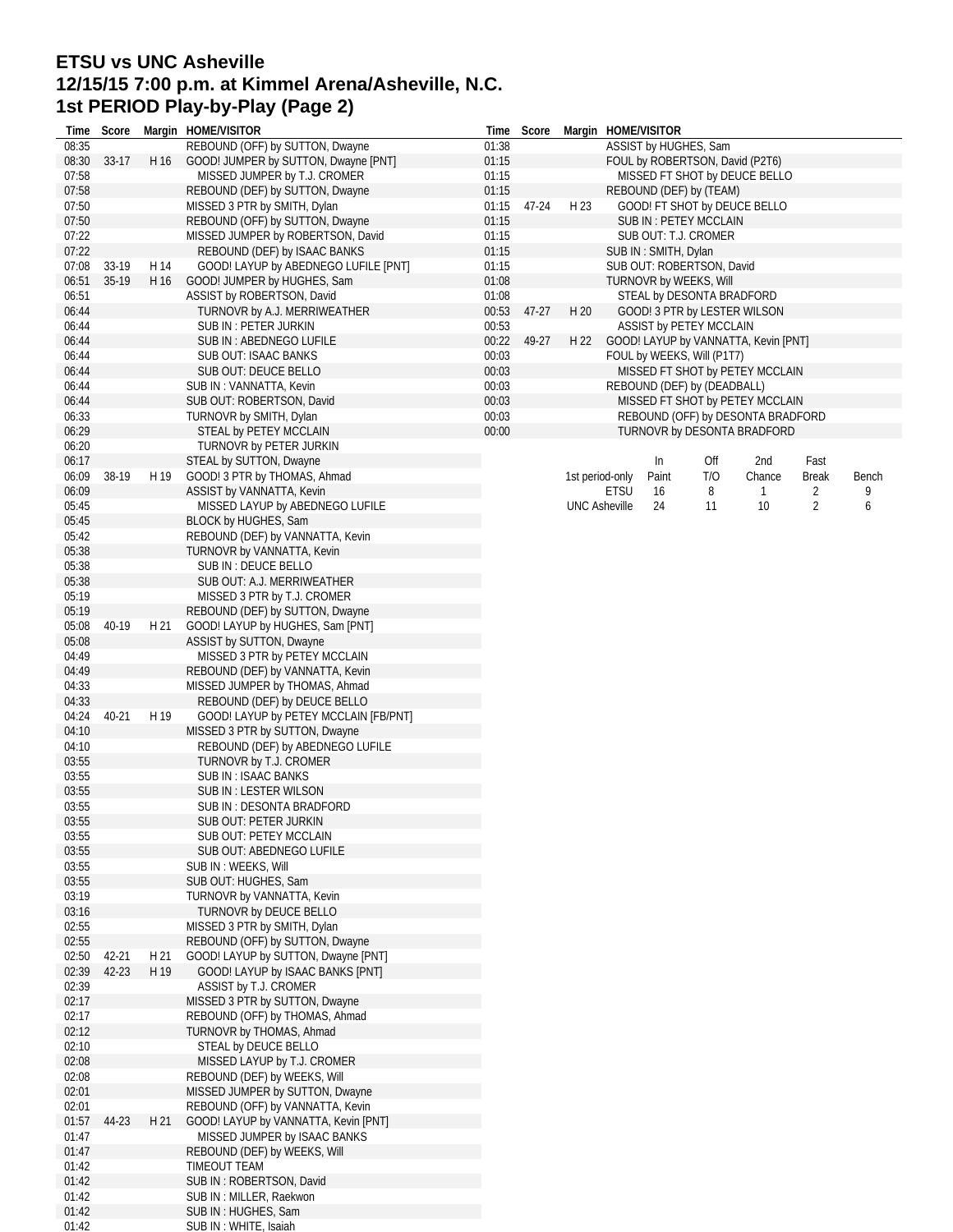# **ETSU vs UNC Asheville 12/15/15 7:00 p.m. at Kimmel Arena/Asheville, N.C. 1st PERIOD Play-by-Play (Page 2)**

| Time           | Score          |              | Margin HOME/VISITOR                                                     | Time           | Score |                      |             | Margin HOME/VISITOR                               |     |                                      |                |       |  |  |  |
|----------------|----------------|--------------|-------------------------------------------------------------------------|----------------|-------|----------------------|-------------|---------------------------------------------------|-----|--------------------------------------|----------------|-------|--|--|--|
| 08:35          |                |              | REBOUND (OFF) by SUTTON, Dwayne                                         | 01:38          |       |                      |             | ASSIST by HUGHES, Sam                             |     |                                      |                |       |  |  |  |
| 08:30          | 33-17          | H 16         | GOOD! JUMPER by SUTTON, Dwayne [PNT]                                    | 01:15          |       |                      |             | FOUL by ROBERTSON, David (P2T6)                   |     |                                      |                |       |  |  |  |
| 07:58<br>07:58 |                |              | MISSED JUMPER by T.J. CROMER<br>REBOUND (DEF) by SUTTON, Dwayne         | 01:15<br>01:15 |       |                      |             | REBOUND (DEF) by (TEAM)                           |     | MISSED FT SHOT by DEUCE BELLO        |                |       |  |  |  |
| 07:50          |                |              | MISSED 3 PTR by SMITH, Dylan                                            | 01:15          | 47-24 | H 23                 |             |                                                   |     | GOOD! FT SHOT by DEUCE BELLO         |                |       |  |  |  |
| 07:50          |                |              | REBOUND (OFF) by SUTTON, Dwayne                                         | 01:15          |       |                      |             | SUB IN : PETEY MCCLAIN                            |     |                                      |                |       |  |  |  |
| 07:22          |                |              | MISSED JUMPER by ROBERTSON, David                                       | 01:15          |       |                      |             | SUB OUT: T.J. CROMER                              |     |                                      |                |       |  |  |  |
| 07:22          |                |              | REBOUND (DEF) by ISAAC BANKS                                            | 01:15          |       |                      |             |                                                   |     |                                      |                |       |  |  |  |
| 07:08          | 33-19          | H 14         | GOOD! LAYUP by ABEDNEGO LUFILE [PNT]                                    | 01:15          |       |                      |             | SUB IN: SMITH, Dylan<br>SUB OUT: ROBERTSON, David |     |                                      |                |       |  |  |  |
| 06:51          | 35-19          | H 16         | GOOD! JUMPER by HUGHES, Sam                                             | 01:08          |       |                      |             | TURNOVR by WEEKS, Will                            |     |                                      |                |       |  |  |  |
| 06:51          |                |              | ASSIST by ROBERTSON, David                                              | 01:08          |       |                      |             | STEAL by DESONTA BRADFORD                         |     |                                      |                |       |  |  |  |
| 06:44          |                |              | TURNOVR by A.J. MERRIWEATHER                                            | 00:53          | 47-27 | H 20                 |             |                                                   |     | GOOD! 3 PTR by LESTER WILSON         |                |       |  |  |  |
| 06:44          |                |              | SUB IN : PETER JURKIN                                                   | 00:53          |       |                      |             | ASSIST by PETEY MCCLAIN                           |     |                                      |                |       |  |  |  |
| 06:44          |                |              | SUB IN: ABEDNEGO LUFILE                                                 | 00:22          | 49-27 | H 22                 |             |                                                   |     | GOOD! LAYUP by VANNATTA, Kevin [PNT] |                |       |  |  |  |
| 06:44          |                |              | SUB OUT: ISAAC BANKS                                                    | 00:03          |       |                      |             | FOUL by WEEKS, Will (P1T7)                        |     |                                      |                |       |  |  |  |
| 06:44<br>06:44 |                |              | SUB OUT: DEUCE BELLO                                                    | 00:03<br>00:03 |       |                      |             | REBOUND (DEF) by (DEADBALL)                       |     | MISSED FT SHOT by PETEY MCCLAIN      |                |       |  |  |  |
| 06:44          |                |              | SUB IN: VANNATTA, Kevin<br>SUB OUT: ROBERTSON, David                    | 00:03          |       |                      |             |                                                   |     | MISSED FT SHOT by PETEY MCCLAIN      |                |       |  |  |  |
| 06:33          |                |              | TURNOVR by SMITH, Dylan                                                 | 00:03          |       |                      |             |                                                   |     | REBOUND (OFF) by DESONTA BRADFORD    |                |       |  |  |  |
| 06:29          |                |              | STEAL by PETEY MCCLAIN                                                  | 00:00          |       |                      |             |                                                   |     | TURNOVR by DESONTA BRADFORD          |                |       |  |  |  |
| 06:20          |                |              | TURNOVR by PETER JURKIN                                                 |                |       |                      |             |                                                   |     |                                      |                |       |  |  |  |
| 06:17          |                |              | STEAL by SUTTON, Dwayne                                                 |                |       |                      |             | In                                                | Off | 2nd                                  | Fast           |       |  |  |  |
| 06:09          | 38-19          | H 19         | GOOD! 3 PTR by THOMAS, Ahmad                                            |                |       | 1st period-only      |             | Paint                                             | T/O | Chance                               | <b>Break</b>   | Bench |  |  |  |
| 06:09          |                |              | ASSIST by VANNATTA, Kevin                                               |                |       |                      | <b>ETSU</b> | 16                                                | 8   | 1                                    | 2              | 9     |  |  |  |
| 05:45          |                |              | MISSED LAYUP by ABEDNEGO LUFILE                                         |                |       | <b>UNC Asheville</b> |             | 24                                                | 11  | 10                                   | $\overline{2}$ | 6     |  |  |  |
| 05:45          |                |              | BLOCK by HUGHES, Sam                                                    |                |       |                      |             |                                                   |     |                                      |                |       |  |  |  |
| 05:42          |                |              | REBOUND (DEF) by VANNATTA, Kevin                                        |                |       |                      |             |                                                   |     |                                      |                |       |  |  |  |
| 05:38          |                |              | TURNOVR by VANNATTA, Kevin                                              |                |       |                      |             |                                                   |     |                                      |                |       |  |  |  |
| 05:38          |                |              | SUB IN : DEUCE BELLO                                                    |                |       |                      |             |                                                   |     |                                      |                |       |  |  |  |
| 05:38<br>05:19 |                |              | SUB OUT: A.J. MERRIWEATHER<br>MISSED 3 PTR by T.J. CROMER               |                |       |                      |             |                                                   |     |                                      |                |       |  |  |  |
| 05:19          |                |              | REBOUND (DEF) by SUTTON, Dwayne                                         |                |       |                      |             |                                                   |     |                                      |                |       |  |  |  |
| 05:08          | 40-19          | H 21         | GOOD! LAYUP by HUGHES, Sam [PNT]                                        |                |       |                      |             |                                                   |     |                                      |                |       |  |  |  |
| 05:08          |                |              | ASSIST by SUTTON, Dwayne                                                |                |       |                      |             |                                                   |     |                                      |                |       |  |  |  |
| 04:49          |                |              | MISSED 3 PTR by PETEY MCCLAIN                                           |                |       |                      |             |                                                   |     |                                      |                |       |  |  |  |
| 04:49          |                |              | REBOUND (DEF) by VANNATTA, Kevin                                        |                |       |                      |             |                                                   |     |                                      |                |       |  |  |  |
| 04:33          |                |              | MISSED JUMPER by THOMAS, Ahmad                                          |                |       |                      |             |                                                   |     |                                      |                |       |  |  |  |
| 04:33          |                |              | REBOUND (DEF) by DEUCE BELLO                                            |                |       |                      |             |                                                   |     |                                      |                |       |  |  |  |
| 04:24          | 40-21          | H 19         | GOOD! LAYUP by PETEY MCCLAIN [FB/PNT]                                   |                |       |                      |             |                                                   |     |                                      |                |       |  |  |  |
| 04:10          |                |              | MISSED 3 PTR by SUTTON, Dwayne                                          |                |       |                      |             |                                                   |     |                                      |                |       |  |  |  |
| 04:10          |                |              | REBOUND (DEF) by ABEDNEGO LUFILE                                        |                |       |                      |             |                                                   |     |                                      |                |       |  |  |  |
| 03:55          |                |              | TURNOVR by T.J. CROMER                                                  |                |       |                      |             |                                                   |     |                                      |                |       |  |  |  |
| 03:55<br>03:55 |                |              | <b>SUB IN: ISAAC BANKS</b><br>SUB IN: LESTER WILSON                     |                |       |                      |             |                                                   |     |                                      |                |       |  |  |  |
| 03:55          |                |              | SUB IN: DESONTA BRADFORD                                                |                |       |                      |             |                                                   |     |                                      |                |       |  |  |  |
| 03:55          |                |              | <b>SUB OUT: PETER JURKIN</b>                                            |                |       |                      |             |                                                   |     |                                      |                |       |  |  |  |
| 03:55          |                |              | SUB OUT: PETEY MCCLAIN                                                  |                |       |                      |             |                                                   |     |                                      |                |       |  |  |  |
| 03:55          |                |              | SUB OUT: ABEDNEGO LUFILE                                                |                |       |                      |             |                                                   |     |                                      |                |       |  |  |  |
| 03:55          |                |              | SUB IN : WEEKS, Will                                                    |                |       |                      |             |                                                   |     |                                      |                |       |  |  |  |
| 03:55          |                |              | SUB OUT: HUGHES, Sam                                                    |                |       |                      |             |                                                   |     |                                      |                |       |  |  |  |
| 03:19          |                |              | TURNOVR by VANNATTA, Kevin                                              |                |       |                      |             |                                                   |     |                                      |                |       |  |  |  |
| 03:16          |                |              | TURNOVR by DEUCE BELLO                                                  |                |       |                      |             |                                                   |     |                                      |                |       |  |  |  |
| 02:55          |                |              | MISSED 3 PTR by SMITH, Dylan                                            |                |       |                      |             |                                                   |     |                                      |                |       |  |  |  |
| 02:55          |                |              | REBOUND (OFF) by SUTTON, Dwayne                                         |                |       |                      |             |                                                   |     |                                      |                |       |  |  |  |
| 02:50<br>02:39 | 42-21<br>42-23 | H 21<br>H 19 | GOOD! LAYUP by SUTTON, Dwayne [PNT]<br>GOOD! LAYUP by ISAAC BANKS [PNT] |                |       |                      |             |                                                   |     |                                      |                |       |  |  |  |
| 02:39          |                |              | ASSIST by T.J. CROMER                                                   |                |       |                      |             |                                                   |     |                                      |                |       |  |  |  |
| 02:17          |                |              | MISSED 3 PTR by SUTTON, Dwayne                                          |                |       |                      |             |                                                   |     |                                      |                |       |  |  |  |
| 02:17          |                |              | REBOUND (OFF) by THOMAS, Ahmad                                          |                |       |                      |             |                                                   |     |                                      |                |       |  |  |  |
| 02:12          |                |              | TURNOVR by THOMAS, Ahmad                                                |                |       |                      |             |                                                   |     |                                      |                |       |  |  |  |
| 02:10          |                |              | STEAL by DEUCE BELLO                                                    |                |       |                      |             |                                                   |     |                                      |                |       |  |  |  |
| 02:08          |                |              | MISSED LAYUP by T.J. CROMER                                             |                |       |                      |             |                                                   |     |                                      |                |       |  |  |  |
| 02:08          |                |              | REBOUND (DEF) by WEEKS, Will                                            |                |       |                      |             |                                                   |     |                                      |                |       |  |  |  |
| 02:01          |                |              | MISSED JUMPER by SUTTON, Dwayne                                         |                |       |                      |             |                                                   |     |                                      |                |       |  |  |  |
| 02:01          |                |              | REBOUND (OFF) by VANNATTA, Kevin                                        |                |       |                      |             |                                                   |     |                                      |                |       |  |  |  |
| 01:57          | 44-23          | H 21         | GOOD! LAYUP by VANNATTA, Kevin [PNT]                                    |                |       |                      |             |                                                   |     |                                      |                |       |  |  |  |
| 01:47          |                |              | MISSED JUMPER by ISAAC BANKS                                            |                |       |                      |             |                                                   |     |                                      |                |       |  |  |  |
| 01:47<br>01:42 |                |              | REBOUND (DEF) by WEEKS, Will<br>TIMEOUT TEAM                            |                |       |                      |             |                                                   |     |                                      |                |       |  |  |  |
| 01:42          |                |              | SUB IN: ROBERTSON, David                                                |                |       |                      |             |                                                   |     |                                      |                |       |  |  |  |
| 01:42          |                |              | SUB IN: MILLER, Raekwon                                                 |                |       |                      |             |                                                   |     |                                      |                |       |  |  |  |
| 01:42          |                |              | SUB IN : HUGHES, Sam                                                    |                |       |                      |             |                                                   |     |                                      |                |       |  |  |  |
| 01:42          |                |              | SUB IN: WHITE, Isaiah                                                   |                |       |                      |             |                                                   |     |                                      |                |       |  |  |  |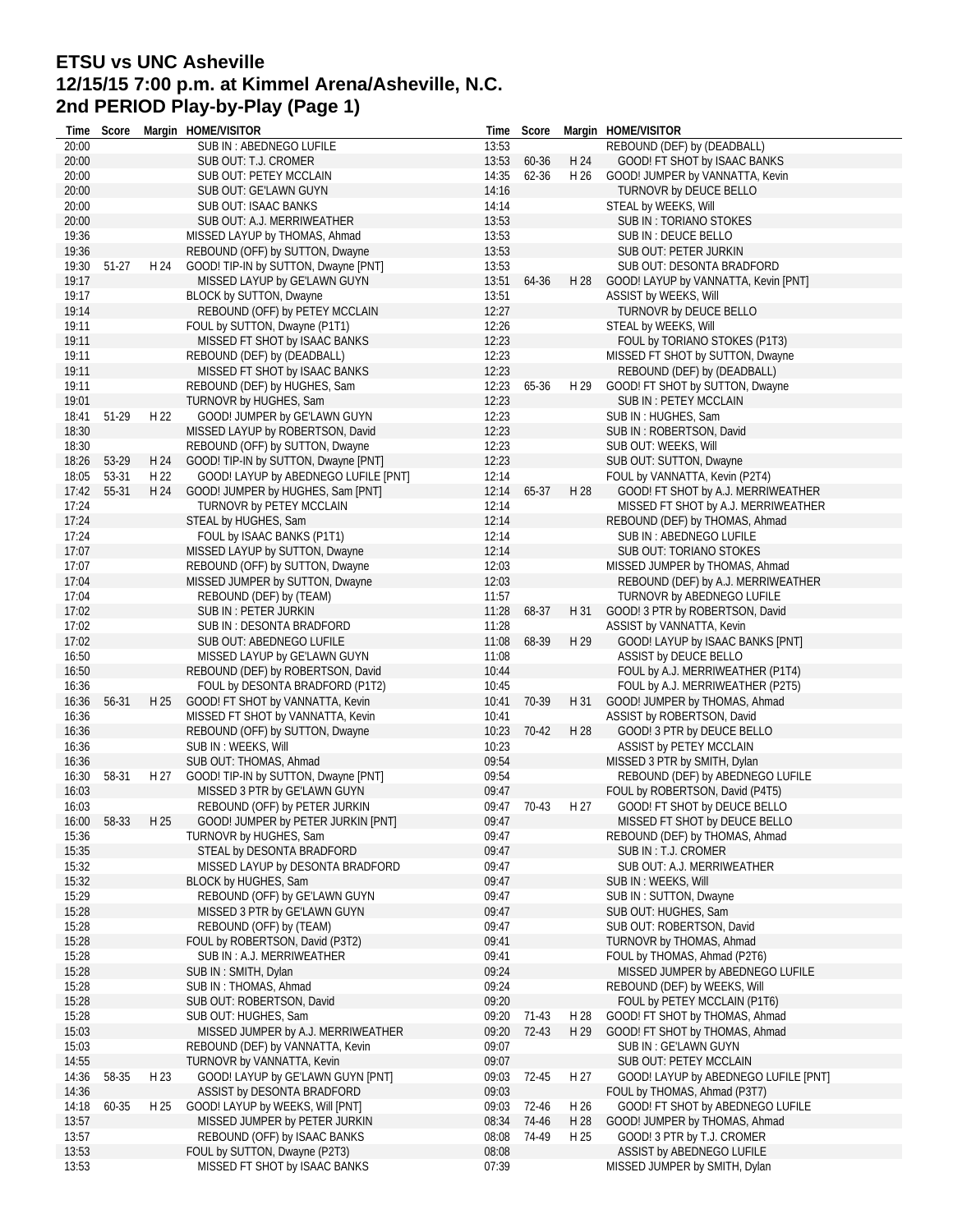# **ETSU vs UNC Asheville 12/15/15 7:00 p.m. at Kimmel Arena/Asheville, N.C. 2nd PERIOD Play-by-Play (Page 1)**

| Time  |         |      | Score Margin HOME/VISITOR            | Time  | Score |                 | Margin HOME/VISITOR                  |
|-------|---------|------|--------------------------------------|-------|-------|-----------------|--------------------------------------|
| 20:00 |         |      | SUB IN: ABEDNEGO LUFILE              | 13:53 |       |                 | REBOUND (DEF) by (DEADBALL)          |
| 20:00 |         |      | SUB OUT: T.J. CROMER                 | 13:53 | 60-36 | H 24            | GOOD! FT SHOT by ISAAC BANKS         |
| 20:00 |         |      | <b>SUB OUT: PETEY MCCLAIN</b>        | 14:35 | 62-36 | H 26            | GOOD! JUMPER by VANNATTA, Kevin      |
| 20:00 |         |      | SUB OUT: GE'LAWN GUYN                | 14:16 |       |                 | TURNOVR by DEUCE BELLO               |
| 20:00 |         |      | SUB OUT: ISAAC BANKS                 | 14:14 |       |                 | STEAL by WEEKS, Will                 |
|       |         |      |                                      |       |       |                 |                                      |
| 20:00 |         |      | SUB OUT: A.J. MERRIWEATHER           | 13:53 |       |                 | SUB IN : TORIANO STOKES              |
| 19:36 |         |      | MISSED LAYUP by THOMAS, Ahmad        | 13:53 |       |                 | SUB IN : DEUCE BELLO                 |
| 19:36 |         |      | REBOUND (OFF) by SUTTON, Dwayne      | 13:53 |       |                 | SUB OUT: PETER JURKIN                |
| 19:30 | $51-27$ | H 24 | GOOD! TIP-IN by SUTTON, Dwayne [PNT] | 13:53 |       |                 | SUB OUT: DESONTA BRADFORD            |
| 19:17 |         |      | MISSED LAYUP by GE'LAWN GUYN         | 13:51 | 64-36 | H 28            | GOOD! LAYUP by VANNATTA, Kevin [PNT] |
| 19:17 |         |      | BLOCK by SUTTON, Dwayne              | 13:51 |       |                 | ASSIST by WEEKS, Will                |
| 19:14 |         |      | REBOUND (OFF) by PETEY MCCLAIN       | 12:27 |       |                 | TURNOVR by DEUCE BELLO               |
| 19:11 |         |      | FOUL by SUTTON, Dwayne (P1T1)        | 12:26 |       |                 | STEAL by WEEKS, Will                 |
| 19:11 |         |      | MISSED FT SHOT by ISAAC BANKS        | 12:23 |       |                 | FOUL by TORIANO STOKES (P1T3)        |
| 19:11 |         |      | REBOUND (DEF) by (DEADBALL)          | 12:23 |       |                 | MISSED FT SHOT by SUTTON, Dwayne     |
|       |         |      |                                      |       |       |                 |                                      |
| 19:11 |         |      | MISSED FT SHOT by ISAAC BANKS        | 12:23 |       |                 | REBOUND (DEF) by (DEADBALL)          |
| 19:11 |         |      | REBOUND (DEF) by HUGHES, Sam         | 12:23 | 65-36 | H 29            | GOOD! FT SHOT by SUTTON, Dwayne      |
| 19:01 |         |      | TURNOVR by HUGHES, Sam               | 12:23 |       |                 | SUB IN : PETEY MCCLAIN               |
| 18:41 | 51-29   | H 22 | GOOD! JUMPER by GE'LAWN GUYN         | 12:23 |       |                 | SUB IN : HUGHES, Sam                 |
| 18:30 |         |      | MISSED LAYUP by ROBERTSON, David     | 12:23 |       |                 | SUB IN: ROBERTSON, David             |
| 18:30 |         |      | REBOUND (OFF) by SUTTON, Dwayne      | 12:23 |       |                 | SUB OUT: WEEKS, Will                 |
| 18:26 | 53-29   | H 24 | GOOD! TIP-IN by SUTTON, Dwayne [PNT] | 12:23 |       |                 | SUB OUT: SUTTON, Dwayne              |
| 18:05 | 53-31   | H 22 | GOOD! LAYUP by ABEDNEGO LUFILE [PNT] | 12:14 |       |                 | FOUL by VANNATTA, Kevin (P2T4)       |
| 17:42 | 55-31   | H 24 | GOOD! JUMPER by HUGHES, Sam [PNT]    | 12:14 | 65-37 | H 28            | GOOD! FT SHOT by A.J. MERRIWEATHER   |
| 17:24 |         |      | TURNOVR by PETEY MCCLAIN             | 12:14 |       |                 | MISSED FT SHOT by A.J. MERRIWEATHER  |
|       |         |      |                                      |       |       |                 |                                      |
| 17:24 |         |      | STEAL by HUGHES, Sam                 | 12:14 |       |                 | REBOUND (DEF) by THOMAS, Ahmad       |
| 17:24 |         |      | FOUL by ISAAC BANKS (P1T1)           | 12:14 |       |                 | SUB IN : ABEDNEGO LUFILE             |
| 17:07 |         |      | MISSED LAYUP by SUTTON, Dwayne       | 12:14 |       |                 | SUB OUT: TORIANO STOKES              |
| 17:07 |         |      | REBOUND (OFF) by SUTTON, Dwayne      | 12:03 |       |                 | MISSED JUMPER by THOMAS, Ahmad       |
| 17:04 |         |      | MISSED JUMPER by SUTTON, Dwayne      | 12:03 |       |                 | REBOUND (DEF) by A.J. MERRIWEATHER   |
| 17:04 |         |      | REBOUND (DEF) by (TEAM)              | 11:57 |       |                 | TURNOVR by ABEDNEGO LUFILE           |
| 17:02 |         |      | SUB IN : PETER JURKIN                | 11:28 | 68-37 | H 31            | GOOD! 3 PTR by ROBERTSON, David      |
| 17:02 |         |      | SUB IN : DESONTA BRADFORD            | 11:28 |       |                 | ASSIST by VANNATTA, Kevin            |
| 17:02 |         |      | SUB OUT: ABEDNEGO LUFILE             | 11:08 | 68-39 | H 29            | GOOD! LAYUP by ISAAC BANKS [PNT]     |
| 16:50 |         |      | MISSED LAYUP by GE'LAWN GUYN         | 11:08 |       |                 | ASSIST by DEUCE BELLO                |
| 16:50 |         |      | REBOUND (DEF) by ROBERTSON, David    | 10:44 |       |                 | FOUL by A.J. MERRIWEATHER (P1T4)     |
|       |         |      |                                      |       |       |                 |                                      |
| 16:36 |         |      | FOUL by DESONTA BRADFORD (P1T2)      | 10:45 |       |                 | FOUL by A.J. MERRIWEATHER (P2T5)     |
| 16:36 | 56-31   | H 25 | GOOD! FT SHOT by VANNATTA, Kevin     | 10:41 | 70-39 | H 31            | GOOD! JUMPER by THOMAS, Ahmad        |
| 16:36 |         |      | MISSED FT SHOT by VANNATTA, Kevin    | 10:41 |       |                 | ASSIST by ROBERTSON, David           |
| 16:36 |         |      | REBOUND (OFF) by SUTTON, Dwayne      | 10:23 | 70-42 | H 28            | GOOD! 3 PTR by DEUCE BELLO           |
| 16:36 |         |      | SUB IN : WEEKS, Will                 | 10:23 |       |                 | ASSIST by PETEY MCCLAIN              |
| 16:36 |         |      | SUB OUT: THOMAS, Ahmad               | 09:54 |       |                 | MISSED 3 PTR by SMITH, Dylan         |
| 16:30 | 58-31   | H 27 | GOOD! TIP-IN by SUTTON, Dwayne [PNT] | 09:54 |       |                 | REBOUND (DEF) by ABEDNEGO LUFILE     |
| 16:03 |         |      | MISSED 3 PTR by GE'LAWN GUYN         | 09:47 |       |                 | FOUL by ROBERTSON, David (P4T5)      |
| 16:03 |         |      | REBOUND (OFF) by PETER JURKIN        | 09:47 | 70-43 | H 27            | GOOD! FT SHOT by DEUCE BELLO         |
| 16:00 | 58-33   | H 25 | GOOD! JUMPER by PETER JURKIN [PNT]   | 09:47 |       |                 | MISSED FT SHOT by DEUCE BELLO        |
| 15:36 |         |      | TURNOVR by HUGHES, Sam               | 09:47 |       |                 | REBOUND (DEF) by THOMAS, Ahmad       |
| 15:35 |         |      | STEAL by DESONTA BRADFORD            | 09:47 |       |                 | SUB IN: T.J. CROMER                  |
|       |         |      |                                      |       |       |                 |                                      |
| 15:32 |         |      | MISSED LAYUP by DESONTA BRADFORD     | 09:47 |       |                 | SUB OUT: A.J. MERRIWEATHER           |
| 15:32 |         |      | BLOCK by HUGHES, Sam                 | 09:47 |       |                 | SUB IN : WEEKS, Will                 |
| 15:29 |         |      | REBOUND (OFF) by GE'LAWN GUYN        | 09:47 |       |                 | SUB IN: SUTTON, Dwayne               |
| 15:28 |         |      | MISSED 3 PTR by GE'LAWN GUYN         | 09:47 |       |                 | SUB OUT: HUGHES, Sam                 |
| 15:28 |         |      | REBOUND (OFF) by (TEAM)              | 09:47 |       |                 | SUB OUT: ROBERTSON, David            |
| 15:28 |         |      | FOUL by ROBERTSON, David (P3T2)      | 09:41 |       |                 | TURNOVR by THOMAS, Ahmad             |
| 15:28 |         |      | SUB IN : A.J. MERRIWEATHER           | 09:41 |       |                 | FOUL by THOMAS, Ahmad (P2T6)         |
| 15:28 |         |      | SUB IN: SMITH, Dylan                 | 09:24 |       |                 | MISSED JUMPER by ABEDNEGO LUFILE     |
| 15:28 |         |      | SUB IN: THOMAS, Ahmad                | 09:24 |       |                 | REBOUND (DEF) by WEEKS, Will         |
| 15:28 |         |      | SUB OUT: ROBERTSON, David            | 09:20 |       |                 | FOUL by PETEY MCCLAIN (P1T6)         |
| 15:28 |         |      | SUB OUT: HUGHES, Sam                 | 09:20 | 71-43 | H 28            | GOOD! FT SHOT by THOMAS, Ahmad       |
|       |         |      |                                      | 09:20 | 72-43 | H 29            | GOOD! FT SHOT by THOMAS, Ahmad       |
| 15:03 |         |      | MISSED JUMPER by A.J. MERRIWEATHER   |       |       |                 |                                      |
| 15:03 |         |      | REBOUND (DEF) by VANNATTA, Kevin     | 09:07 |       |                 | SUB IN: GE'LAWN GUYN                 |
| 14:55 |         |      | TURNOVR by VANNATTA, Kevin           | 09:07 |       |                 | SUB OUT: PETEY MCCLAIN               |
| 14:36 | 58-35   | H 23 | GOOD! LAYUP by GE'LAWN GUYN [PNT]    | 09:03 | 72-45 | H <sub>27</sub> | GOOD! LAYUP by ABEDNEGO LUFILE [PNT] |
| 14:36 |         |      | ASSIST by DESONTA BRADFORD           | 09:03 |       |                 | FOUL by THOMAS, Ahmad (P3T7)         |
| 14:18 | 60-35   | H 25 | GOOD! LAYUP by WEEKS, Will [PNT]     | 09:03 | 72-46 | H 26            | GOOD! FT SHOT by ABEDNEGO LUFILE     |
| 13:57 |         |      | MISSED JUMPER by PETER JURKIN        | 08:34 | 74-46 | H 28            | GOOD! JUMPER by THOMAS, Ahmad        |
| 13:57 |         |      | REBOUND (OFF) by ISAAC BANKS         | 08:08 | 74-49 | H 25            | GOOD! 3 PTR by T.J. CROMER           |
| 13:53 |         |      | FOUL by SUTTON, Dwayne (P2T3)        | 08:08 |       |                 | ASSIST by ABEDNEGO LUFILE            |
| 13:53 |         |      | MISSED FT SHOT by ISAAC BANKS        | 07:39 |       |                 | MISSED JUMPER by SMITH, Dylan        |
|       |         |      |                                      |       |       |                 |                                      |